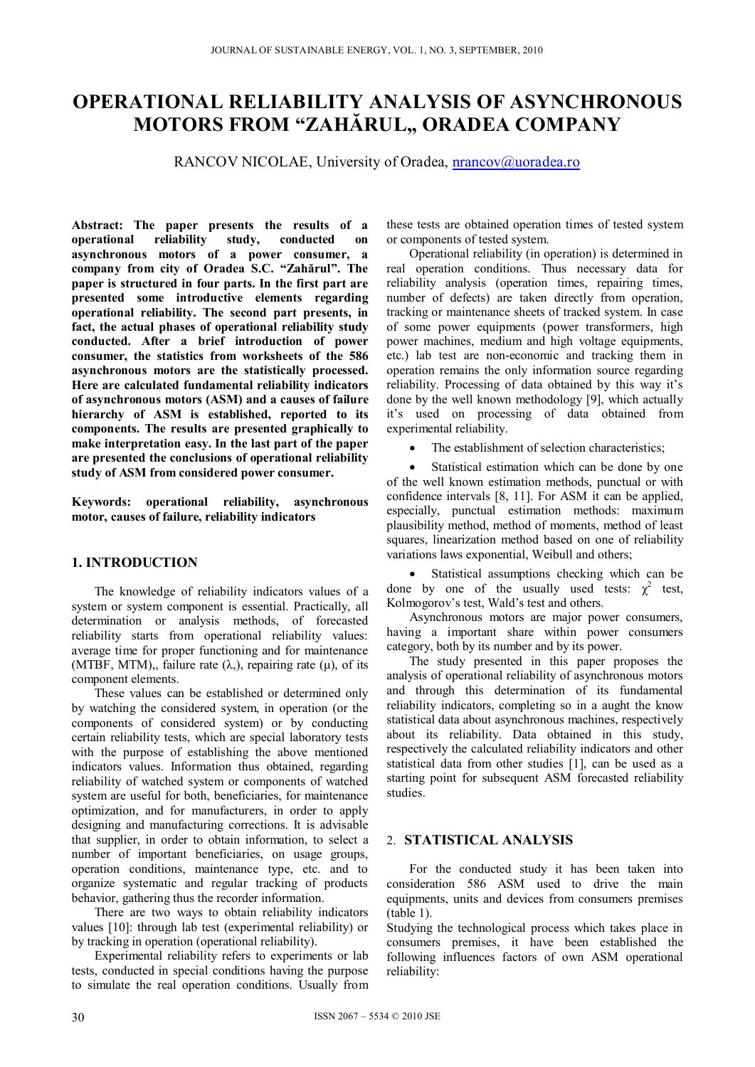# **OPERATIONAL RELIABILITY ANALYSIS OF ASYNCHRONOUS MOTORS FROM "ZAHĂRUL,, ORADEA COMPANY**

RANCOV NICOLAE, University of Oradea, nrancov@uoradea.ro

**Abstract: The paper presents the results of a operational reliability study, conducted on asynchronous motors of a power consumer, a company from city of Oradea S.C. "Zahărul". The paper is structured in four parts. In the first part are presented some introductive elements regarding operational reliability. The second part presents, in fact, the actual phases of operational reliability study conducted. After a brief introduction of power consumer, the statistics from worksheets of the 586 asynchronous motors are the statistically processed. Here are calculated fundamental reliability indicators of asynchronous motors (ASM) and a causes of failure hierarchy of ASM is established, reported to its components. The results are presented graphically to make interpretation easy. In the last part of the paper are presented the conclusions of operational reliability study of ASM from considered power consumer.** 

**Keywords: operational reliability, asynchronous motor, causes of failure, reliability indicators** 

# **1. INTRODUCTION**

The knowledge of reliability indicators values of a system or system component is essential. Practically, all determination or analysis methods, of forecasted reliability starts from operational reliability values: average time for proper functioning and for maintenance (MTBF, MTM),, failure rate  $(\lambda)$ , repairing rate (μ), of its component elements.

These values can be established or determined only by watching the considered system, in operation (or the components of considered system) or by conducting certain reliability tests, which are special laboratory tests with the purpose of establishing the above mentioned indicators values. Information thus obtained, regarding reliability of watched system or components of watched system are useful for both, beneficiaries, for maintenance optimization, and for manufacturers, in order to apply designing and manufacturing corrections. It is advisable that supplier, in order to obtain information, to select a number of important beneficiaries, on usage groups, operation conditions, maintenance type, etc. and to organize systematic and regular tracking of products behavior, gathering thus the recorder information.

There are two ways to obtain reliability indicators values [10]: through lab test (experimental reliability) or by tracking in operation (operational reliability).

Experimental reliability refers to experiments or lab tests, conducted in special conditions having the purpose to simulate the real operation conditions. Usually from

these tests are obtained operation times of tested system or components of tested system.

Operational reliability (in operation) is determined in real operation conditions. Thus necessary data for reliability analysis (operation times, repairing times, number of defects) are taken directly from operation, tracking or maintenance sheets of tracked system. In case of some power equipments (power transformers, high power machines, medium and high voltage equipments, etc.) lab test are non-economic and tracking them in operation remains the only information source regarding reliability. Processing of data obtained by this way it's done by the well known methodology [9], which actually it's used on processing of data obtained from experimental reliability.

The establishment of selection characteristics;

 Statistical estimation which can be done by one of the well known estimation methods, punctual or with confidence intervals [8, 11]. For ASM it can be applied, especially, punctual estimation methods: maximum plausibility method, method of moments, method of least squares, linearization method based on one of reliability variations laws exponential, Weibull and others;

 Statistical assumptions checking which can be done by one of the usually used tests:  $\chi^2$  test, Kolmogorov's test, Wald's test and others.

Asynchronous motors are major power consumers, having a important share within power consumers category, both by its number and by its power.

The study presented in this paper proposes the analysis of operational reliability of asynchronous motors and through this determination of its fundamental reliability indicators, completing so in a aught the know statistical data about asynchronous machines, respectively about its reliability. Data obtained in this study, respectively the calculated reliability indicators and other statistical data from other studies [1], can be used as a starting point for subsequent ASM forecasted reliability studies.

# 2. **STATISTICAL ANALYSIS**

For the conducted study it has been taken into consideration 586 ASM used to drive the main equipments, units and devices from consumers premises (table 1).

Studying the technological process which takes place in consumers premises, it have been established the following influences factors of own ASM operational reliability: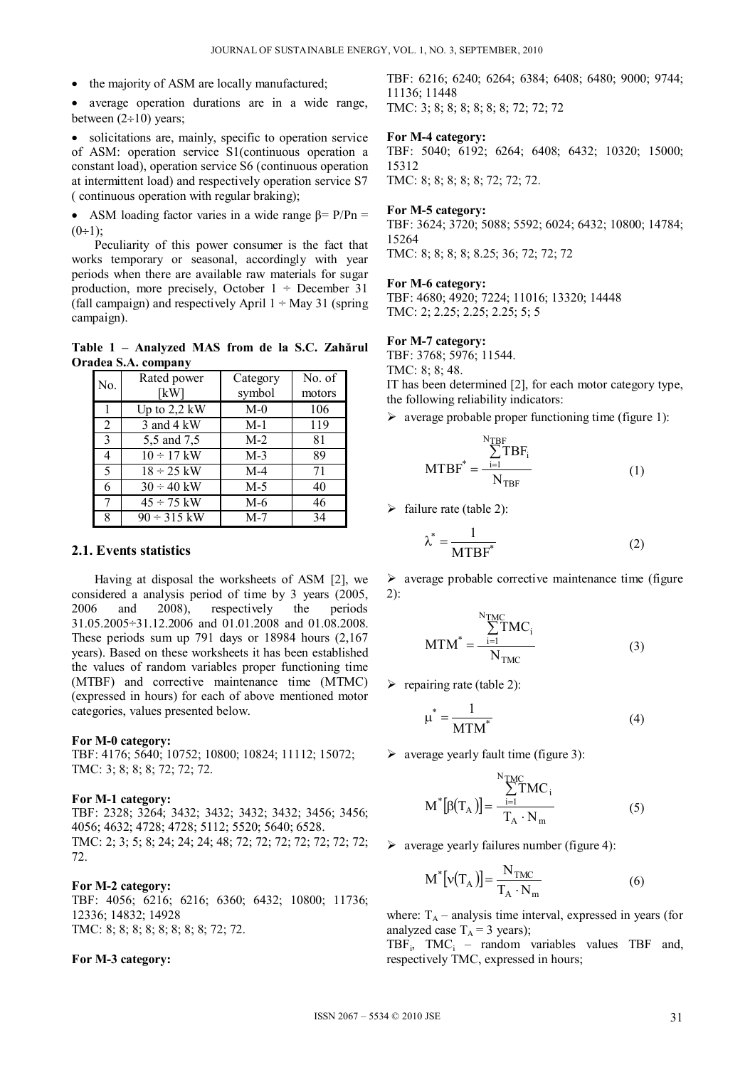• the majority of ASM are locally manufactured;

 average operation durations are in a wide range, between  $(2\div 10)$  years;

 solicitations are, mainly, specific to operation service of ASM: operation service S1(continuous operation a constant load), operation service S6 (continuous operation at intermittent load) and respectively operation service S7 ( continuous operation with regular braking);

• ASM loading factor varies in a wide range  $\beta$ = P/Pn =  $(0 \div 1)$ 

Peculiarity of this power consumer is the fact that works temporary or seasonal, accordingly with year periods when there are available raw materials for sugar production, more precisely, October  $1 \div$  December 31 (fall campaign) and respectively April  $1 \div$  May 31 (spring campaign).

**Table 1 – Analyzed MAS from de la S.C. Zahărul Oradea S.A. company** 

| No.            | Rated power<br>[kW] | Category<br>symbol | No. of<br>motors |
|----------------|---------------------|--------------------|------------------|
|                | Up to $2,2$ kW      | $M-0$              | 106              |
| $\overline{2}$ | 3 and 4 kW          | $M-1$              | 119              |
| $\mathcal{E}$  | 5,5 and 7,5         | $M-2$              | 81               |
| 4              | $10 \div 17$ kW     | $M-3$              | 89               |
| 5              | $18 \div 25$ kW     | $M-4$              | 71               |
| 6              | $30 \div 40$ kW     | $M-5$              | 40               |
| 7              | $45 \div 75$ kW     | $M-6$              | 46               |
| 8              | $90 \div 315$ kW    | $M-7$              | 34               |

### **2.1. Events statistics**

Having at disposal the worksheets of ASM [2], we considered a analysis period of time by 3 years (2005, 2006 and 2008), respectively the periods  $2006$  and  $2008$ ), respectively the 31.05.2005÷31.12.2006 and 01.01.2008 and 01.08.2008. These periods sum up 791 days or 18984 hours (2,167 years). Based on these worksheets it has been established the values of random variables proper functioning time (MTBF) and corrective maintenance time (MTMC) (expressed in hours) for each of above mentioned motor categories, values presented below.

#### **For M-0 category:**

TBF: 4176; 5640; 10752; 10800; 10824; 11112; 15072; TMC: 3; 8; 8; 8; 72; 72; 72.

#### **For M-1 category:**

TBF: 2328; 3264; 3432; 3432; 3432; 3432; 3456; 3456; 4056; 4632; 4728; 4728; 5112; 5520; 5640; 6528. TMC: 2; 3; 5; 8; 24; 24; 24; 48; 72; 72; 72; 72; 72; 72; 72; 72.

# **For M-2 category:**

TBF: 4056; 6216; 6216; 6360; 6432; 10800; 11736; 12336; 14832; 14928 TMC: 8; 8; 8; 8; 8; 8; 8; 8; 72; 72.

#### **For M-3 category:**

TBF: 6216; 6240; 6264; 6384; 6408; 6480; 9000; 9744; 11136; 11448 TMC: 3; 8; 8; 8; 8; 8; 8; 72; 72; 72

#### **For M-4 category:**

TBF: 5040; 6192; 6264; 6408; 6432; 10320; 15000; 15312 TMC: 8; 8; 8; 8; 8; 72; 72; 72.

# **For M-5 category:**

TBF: 3624; 3720; 5088; 5592; 6024; 6432; 10800; 14784; 15264 TMC: 8; 8; 8; 8; 8.25; 36; 72; 72; 72

#### **For M-6 category:**

TBF: 4680; 4920; 7224; 11016; 13320; 14448 TMC: 2; 2.25; 2.25; 2.25; 5; 5

### **For M-7 category:**

TBF: 3768; 5976; 11544.

TMC: 8; 8; 48.

IT has been determined [2], for each motor category type, the following reliability indicators:

 $\triangleright$  average probable proper functioning time (figure 1):

$$
MTBF^* = \frac{\sum_{i=1}^{N_{TBF}} TBF_i}{N_{TBF}}
$$
(1)

 $\triangleright$  failure rate (table 2):

$$
\lambda^* = \frac{1}{MTBF^*}
$$
 (2)

 $\triangleright$  average probable corrective maintenance time (figure) 2):

$$
MTM^* = \frac{\sum_{i=1}^{N_{TMC}} TMC_i}{N_{TMC}}
$$
(3)

 $\triangleright$  repairing rate (table 2):

$$
\mu^* = \frac{1}{\text{MTM}^*} \tag{4}
$$

 $\triangleright$  average yearly fault time (figure 3):

$$
M^*[\beta(T_A)] = \frac{\sum_{i=1}^{N_{\text{TMC}}} TMC_i}{T_A \cdot N_m}
$$
 (5)

 $\triangleright$  average yearly failures number (figure 4):

$$
M^* [v(T_A)] = \frac{N_{\text{TMC}}}{T_A \cdot N_m}
$$
 (6)

where:  $T_A$  – analysis time interval, expressed in years (for analyzed case  $T_A = 3$  years);

 $TBF_i$ ,  $TMC_i$  – random variables values TBF and, respectively TMC, expressed in hours;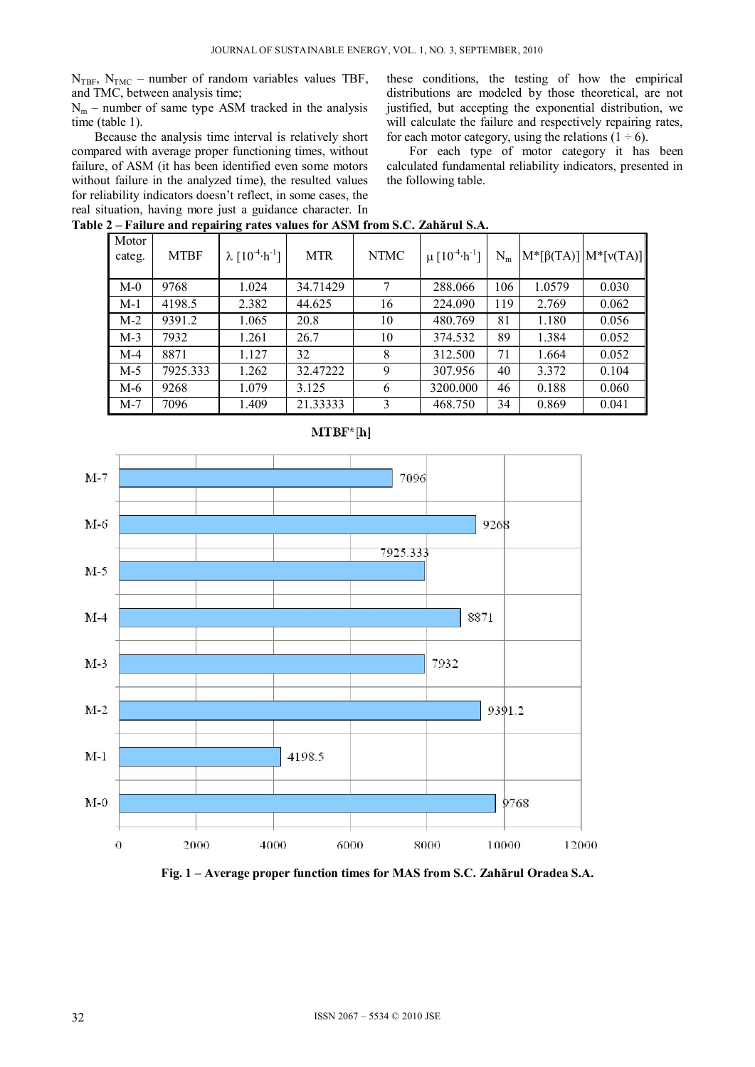$N_{TBF}$ ,  $N_{TMC}$  – number of random variables values TBF, and TMC, between analysis time;

 $N_m$  – number of same type ASM tracked in the analysis time (table 1).

Because the analysis time interval is relatively short compared with average proper functioning times, without failure, of ASM (it has been identified even some motors without failure in the analyzed time), the resulted values for reliability indicators doesn't reflect, in some cases, the real situation, having more just a guidance character. In **Table 2 – Failure and repairing rates values for ASM from S.C. Zahărul S.A.** 

these conditions, the testing of how the empirical distributions are modeled by those theoretical, are not justified, but accepting the exponential distribution, we will calculate the failure and respectively repairing rates, for each motor category, using the relations  $(1 \div 6)$ .

For each type of motor category it has been calculated fundamental reliability indicators, presented in the following table.

| T and Canu Pepan ing Tates values for Testar from Sec. <i>Earnal</i> of Serie |             |                                  |            |             |                                            |       |                                 |       |
|-------------------------------------------------------------------------------|-------------|----------------------------------|------------|-------------|--------------------------------------------|-------|---------------------------------|-------|
| Motor<br>categ.                                                               | <b>MTBF</b> | $\lambda [10^{-4} \cdot h^{-1}]$ | <b>MTR</b> | <b>NTMC</b> | $\mu$ [10 <sup>-4</sup> ·h <sup>-1</sup> ] | $N_m$ | $ M^*[\beta(TA)] M^*[\nu(TA)] $ |       |
| $M-0$                                                                         | 9768        | 1.024                            | 34.71429   | 7           | 288,066                                    | 106   | 1.0579                          | 0.030 |
| $M-1$                                                                         | 4198.5      | 2.382                            | 44.625     | 16          | 224.090                                    | 119   | 2.769                           | 0.062 |
| $M-2$                                                                         | 9391.2      | 1.065                            | 20.8       | 10          | 480.769                                    | 81    | 1.180                           | 0.056 |
| $M-3$                                                                         | 7932        | 1.261                            | 26.7       | 10          | 374.532                                    | 89    | 1.384                           | 0.052 |
| $M-4$                                                                         | 8871        | 1.127                            | 32         | 8           | 312.500                                    | 71    | 1.664                           | 0.052 |
| $M-5$                                                                         | 7925.333    | 1.262                            | 32.47222   | 9           | 307.956                                    | 40    | 3.372                           | 0.104 |
| M-6                                                                           | 9268        | 1.079                            | 3.125      | 6           | 3200.000                                   | 46    | 0.188                           | 0.060 |
| $M-7$                                                                         | 7096        | 1.409                            | 21.33333   | 3           | 468.750                                    | 34    | 0.869                           | 0.041 |



**Fig. 1 – Average proper function times for MAS from S.C. Zahărul Oradea S.A.**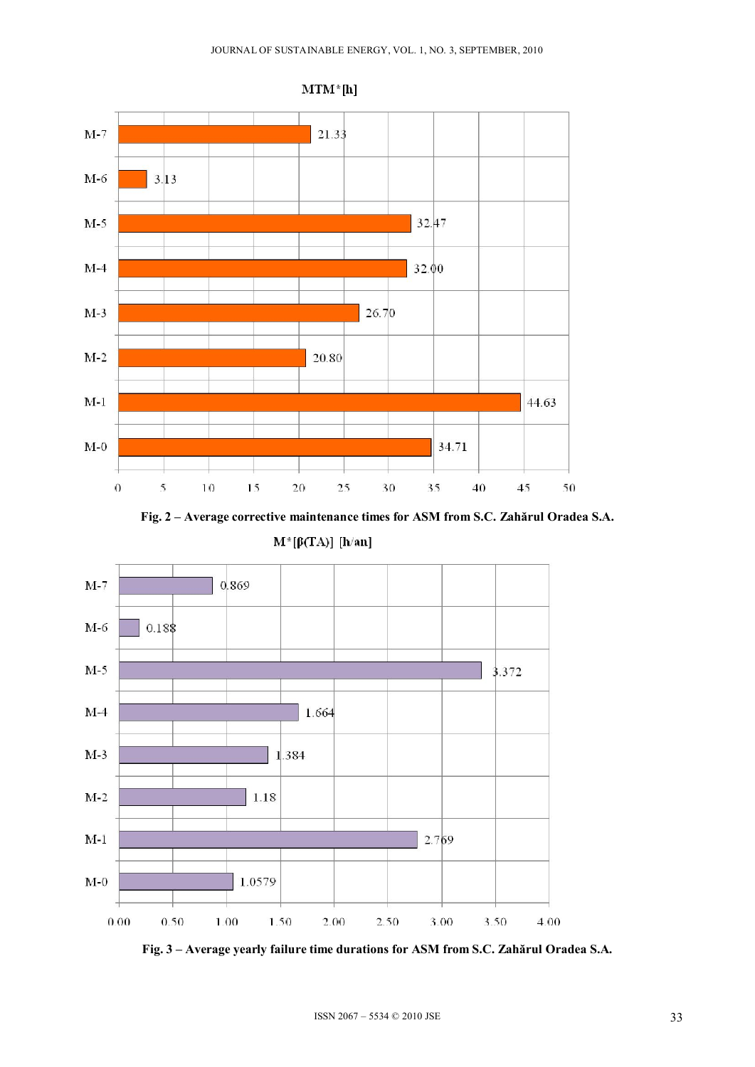

**Fig. 2 – Average corrective maintenance times for ASM from S.C. Zahărul Oradea S.A.** 

 $M^*[\beta(TA)]$  [h/an]



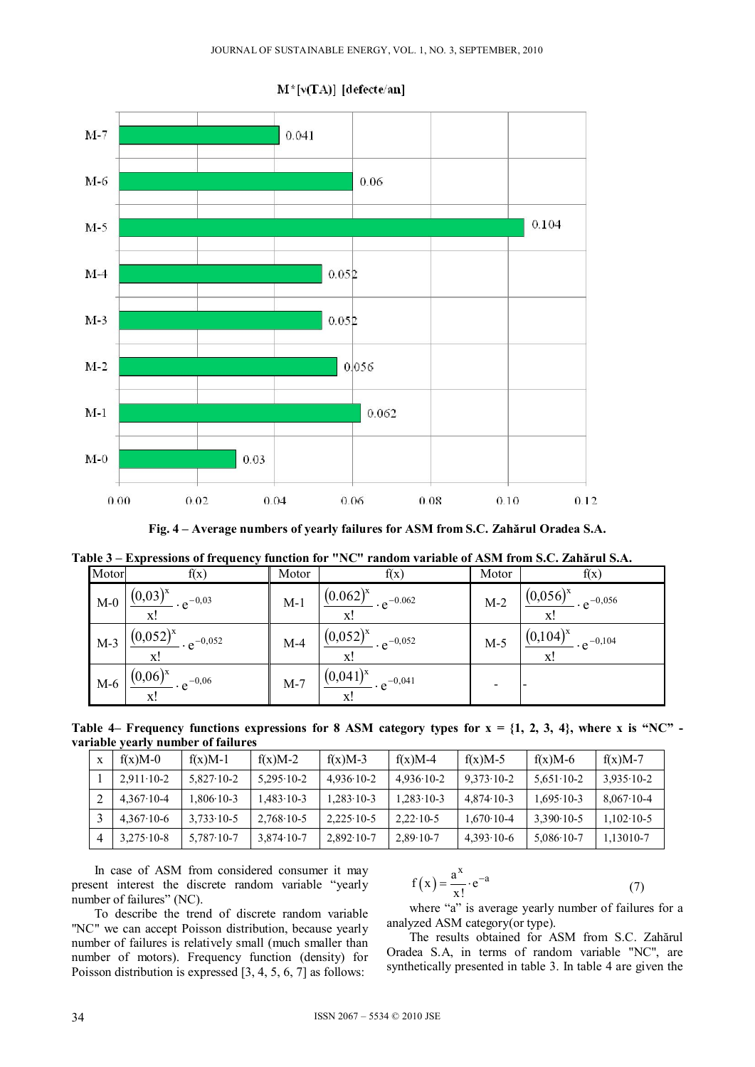

 $M^*[v(TA)]$  [defecte/an]

**Fig. 4 – Average numbers of yearly failures for ASM from S.C. Zahărul Oradea S.A.** 

|  |  | Table 3 – Expressions of frequency function for "NC" random variable of ASM from S.C. Zahărul S.A. |  |  |
|--|--|----------------------------------------------------------------------------------------------------|--|--|
|  |  |                                                                                                    |  |  |

| Motor | f(x)                                                       | Motor | f(x)                                            | Motor | f(x)                                      |
|-------|------------------------------------------------------------|-------|-------------------------------------------------|-------|-------------------------------------------|
| $M-0$ | $(0,03)^{x}$<br>$- e^{-0.03}$<br>X                         | $M-1$ | $(0.062)^{x}$<br>$\cdot e^{-0.062}$<br>X!       | $M-2$ | $(0,056)^{x}$<br>$\cdot e^{-0.056}$<br>X! |
| $M-3$ | $(0.052)^{x}$ $\cdot e^{-0.052}$<br>x!                     | $M-4$ | $(0.052)^{x}$<br>$\cdot e^{-0.052}$<br>X!       | $M-5$ | $(0,104)^{x}$<br>$\cdot e^{-0,104}$<br>x! |
| $M-6$ | $(0.06)^{x}$<br>$\cdot$ - $\cdot$ e <sup>-0,06</sup><br>x! | $M-7$ | $(0,041)^{x}$<br>$\cdot \cdot e^{-0.041}$<br>X! |       |                                           |

Table 4– Frequency functions expressions for 8 ASM category types for  $x = \{1, 2, 3, 4\}$ , where x is "NC" **variable yearly number of failures** 

| $f(x)M-0$            | $f(x)M-1$            | $f(x)M-2$            | $f(x)M-3$            | $f(x)M-4$            | $f(x)M-5$            | $f(x)M-6$            | $f(x)M-7$            |
|----------------------|----------------------|----------------------|----------------------|----------------------|----------------------|----------------------|----------------------|
| $2.911 \cdot 10 - 2$ | $5.827 \cdot 10 - 2$ | $5.295 \cdot 10 - 2$ | $4.936 \cdot 10 - 2$ | $4.936 \cdot 10 - 2$ | $9.373 \cdot 10 - 2$ | $5.651 \cdot 10 - 2$ | $3.935 \cdot 10 - 2$ |
| $4.367 \cdot 10 - 4$ | 1.806·10-3           | $-483 \cdot 10 - 3$  | $1.283 \cdot 10 - 3$ | $1.283 \cdot 10 - 3$ | $4.874 \cdot 10 - 3$ | $1.695 \cdot 10 - 3$ | $8.067 \cdot 10 - 4$ |
| $4.367 \cdot 10 - 6$ | $3.733 \cdot 10 - 5$ | $2.768 \cdot 10 - 5$ | $2.225 \cdot 10 - 5$ | $2.22 \cdot 10 - 5$  | $1.670 \cdot 10 - 4$ | $3.390 \cdot 10 - 5$ | $1.102 \cdot 10 - 5$ |
| $3,275 \cdot 10 - 8$ | $5,787 \cdot 10 - 7$ | $3.874 \cdot 10 - 7$ | $2,892 \cdot 10 - 7$ | $2.89 \cdot 10 - 7$  | $4,393 \cdot 10 - 6$ | $5,086 \cdot 10 - 7$ | 1,13010-7            |

In case of ASM from considered consumer it may present interest the discrete random variable "yearly number of failures" (NC).

$$
f(x) = \frac{a^x}{x!} \cdot e^{-a}
$$
 (7)

To describe the trend of discrete random variable "NC" we can accept Poisson distribution, because yearly number of failures is relatively small (much smaller than number of motors). Frequency function (density) for Poisson distribution is expressed [3, 4, 5, 6, 7] as follows:

where "a" is average yearly number of failures for a analyzed ASM category(or type).

The results obtained for ASM from S.C. Zahărul Oradea S.A, in terms of random variable "NC", are synthetically presented in table 3. In table 4 are given the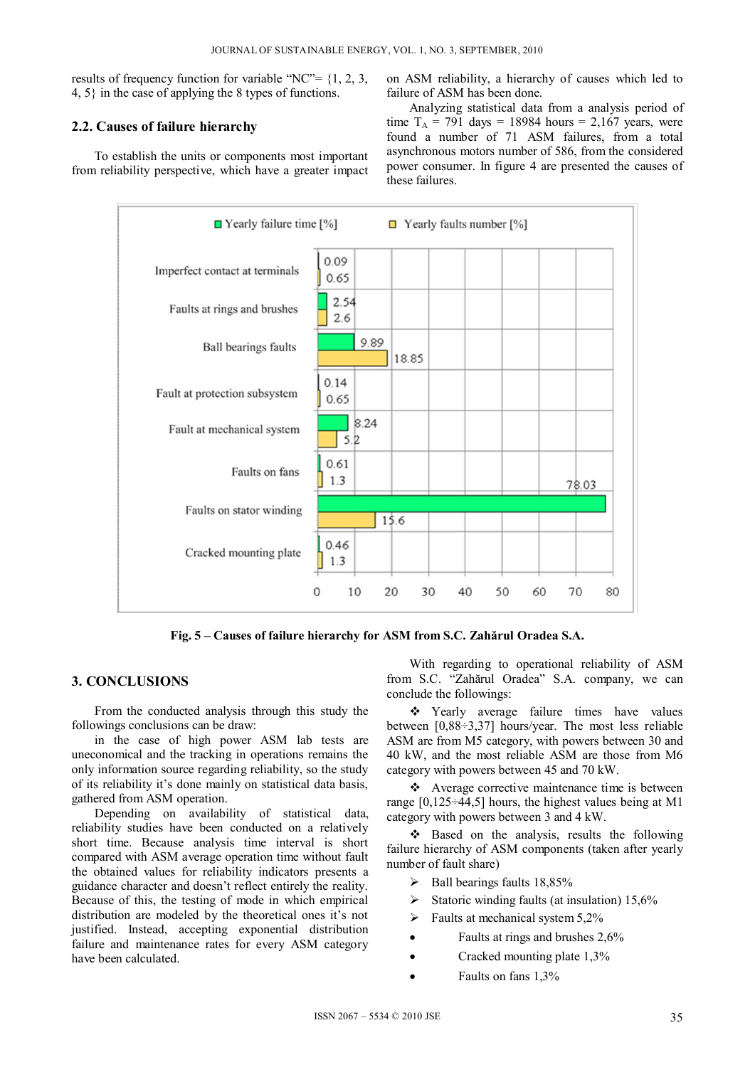results of frequency function for variable "NC"=  $\{1, 2, 3, \}$ 4, 5} in the case of applying the 8 types of functions.

# **2.2. Causes of failure hierarchy**

To establish the units or components most important from reliability perspective, which have a greater impact on ASM reliability, a hierarchy of causes which led to failure of ASM has been done.

Analyzing statistical data from a analysis period of time  $T_A$  = 791 days = 18984 hours = 2,167 years, were found a number of 71 ASM failures, from a total asynchronous motors number of 586, from the considered power consumer. In figure 4 are presented the causes of these failures.



**Fig. 5 – Causes of failure hierarchy for ASM from S.C. Zahărul Oradea S.A.** 

# **3. CONCLUSIONS**

From the conducted analysis through this study the followings conclusions can be draw:

in the case of high power ASM lab tests are uneconomical and the tracking in operations remains the only information source regarding reliability, so the study of its reliability it's done mainly on statistical data basis, gathered from ASM operation.

Depending on availability of statistical data, reliability studies have been conducted on a relatively short time. Because analysis time interval is short compared with ASM average operation time without fault the obtained values for reliability indicators presents a guidance character and doesn't reflect entirely the reality. Because of this, the testing of mode in which empirical distribution are modeled by the theoretical ones it's not justified. Instead, accepting exponential distribution failure and maintenance rates for every ASM category have been calculated.

With regarding to operational reliability of ASM from S.C. "Zahărul Oradea" S.A. company, we can conclude the followings:

\* Yearly average failure times have values between [0,88÷3,37] hours/year. The most less reliable ASM are from M5 category, with powers between 30 and 40 kW, and the most reliable ASM are those from M6 category with powers between 45 and 70 kW.

 Average corrective maintenance time is between range  $[0,125\div 44,5]$  hours, the highest values being at M1 category with powers between 3 and 4 kW.

\* Based on the analysis, results the following failure hierarchy of ASM components (taken after yearly number of fault share)

- $\triangleright$  Ball bearings faults 18,85%
- Statoric winding faults (at insulation)  $15,6\%$
- $\triangleright$  Faults at mechanical system 5,2%
- Faults at rings and brushes 2,6%
- Cracked mounting plate 1,3%
- Faults on fans 1,3%